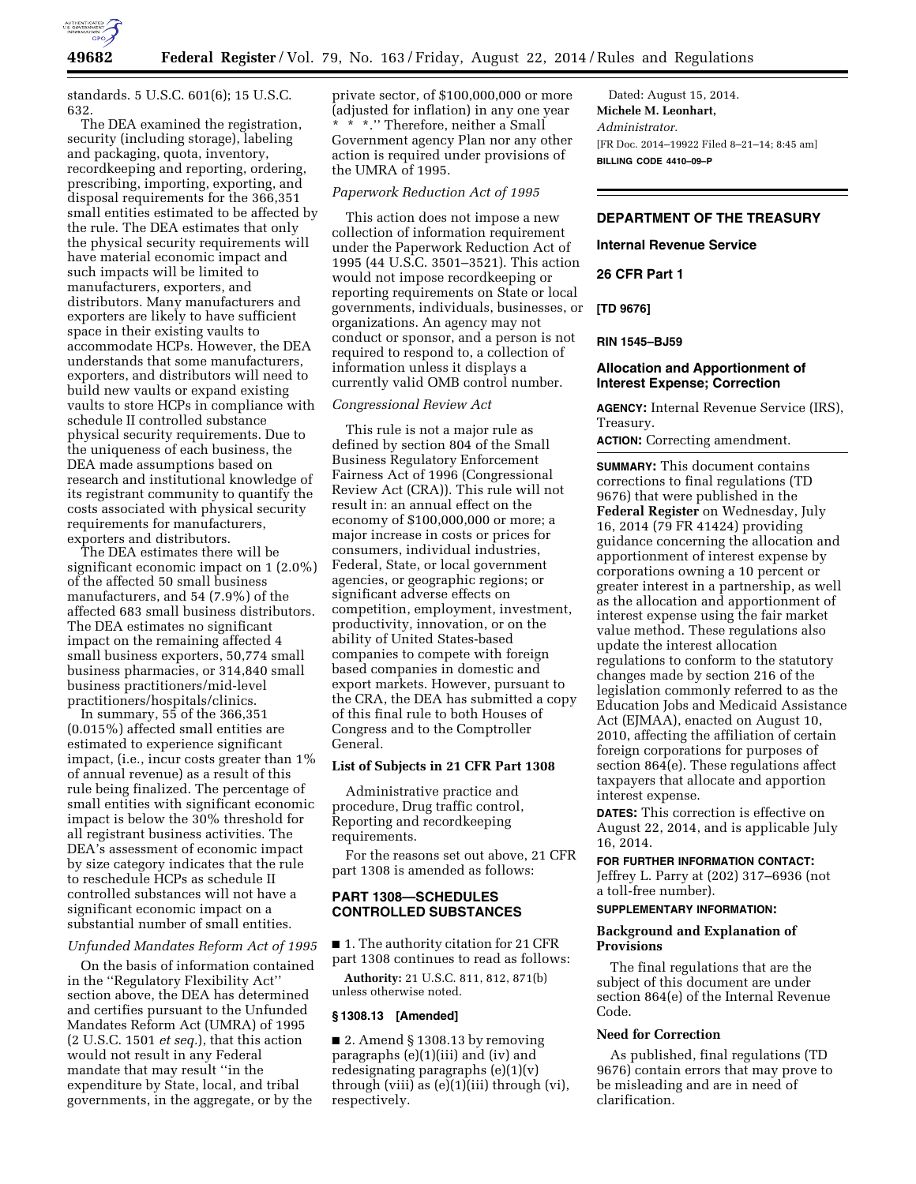

standards. 5 U.S.C. 601(6); 15 U.S.C. 632.

The DEA examined the registration, security (including storage), labeling and packaging, quota, inventory, recordkeeping and reporting, ordering, prescribing, importing, exporting, and disposal requirements for the 366,351 small entities estimated to be affected by the rule. The DEA estimates that only the physical security requirements will have material economic impact and such impacts will be limited to manufacturers, exporters, and distributors. Many manufacturers and exporters are likely to have sufficient space in their existing vaults to accommodate HCPs. However, the DEA understands that some manufacturers, exporters, and distributors will need to build new vaults or expand existing vaults to store HCPs in compliance with schedule II controlled substance physical security requirements. Due to the uniqueness of each business, the DEA made assumptions based on research and institutional knowledge of its registrant community to quantify the costs associated with physical security requirements for manufacturers, exporters and distributors.

The DEA estimates there will be significant economic impact on 1 (2.0%) of the affected 50 small business manufacturers, and 54 (7.9%) of the affected 683 small business distributors. The DEA estimates no significant impact on the remaining affected 4 small business exporters, 50,774 small business pharmacies, or 314,840 small business practitioners/mid-level practitioners/hospitals/clinics.

In summary, 55 of the 366,351 (0.015%) affected small entities are estimated to experience significant impact, (i.e., incur costs greater than 1% of annual revenue) as a result of this rule being finalized. The percentage of small entities with significant economic impact is below the 30% threshold for all registrant business activities. The DEA's assessment of economic impact by size category indicates that the rule to reschedule HCPs as schedule II controlled substances will not have a significant economic impact on a substantial number of small entities.

## *Unfunded Mandates Reform Act of 1995*

On the basis of information contained in the ''Regulatory Flexibility Act'' section above, the DEA has determined and certifies pursuant to the Unfunded Mandates Reform Act (UMRA) of 1995 (2 U.S.C. 1501 *et seq.*), that this action would not result in any Federal mandate that may result ''in the expenditure by State, local, and tribal governments, in the aggregate, or by the private sector, of \$100,000,000 or more (adjusted for inflation) in any one year \* \* \*.'' Therefore, neither a Small Government agency Plan nor any other action is required under provisions of the UMRA of 1995.

#### *Paperwork Reduction Act of 1995*

This action does not impose a new collection of information requirement under the Paperwork Reduction Act of 1995 (44 U.S.C. 3501–3521). This action would not impose recordkeeping or reporting requirements on State or local governments, individuals, businesses, or organizations. An agency may not conduct or sponsor, and a person is not required to respond to, a collection of information unless it displays a currently valid OMB control number.

# *Congressional Review Act*

This rule is not a major rule as defined by section 804 of the Small Business Regulatory Enforcement Fairness Act of 1996 (Congressional Review Act (CRA)). This rule will not result in: an annual effect on the economy of \$100,000,000 or more; a major increase in costs or prices for consumers, individual industries, Federal, State, or local government agencies, or geographic regions; or significant adverse effects on competition, employment, investment, productivity, innovation, or on the ability of United States-based companies to compete with foreign based companies in domestic and export markets. However, pursuant to the CRA, the DEA has submitted a copy of this final rule to both Houses of Congress and to the Comptroller General.

#### **List of Subjects in 21 CFR Part 1308**

Administrative practice and procedure, Drug traffic control, Reporting and recordkeeping requirements.

For the reasons set out above, 21 CFR part 1308 is amended as follows:

## **PART 1308—SCHEDULES CONTROLLED SUBSTANCES**

■ 1. The authority citation for 21 CFR part 1308 continues to read as follows:

**Authority:** 21 U.S.C. 811, 812, 871(b) unless otherwise noted.

#### **§ 1308.13 [Amended]**

■ 2. Amend § 1308.13 by removing paragraphs (e)(1)(iii) and (iv) and redesignating paragraphs (e)(1)(v) through (viii) as (e)(1)(iii) through (vi), respectively.

Dated: August 15, 2014. **Michele M. Leonhart,**  *Administrator.*  [FR Doc. 2014–19922 Filed 8–21–14; 8:45 am] **BILLING CODE 4410–09–P** 

## **DEPARTMENT OF THE TREASURY**

#### **Internal Revenue Service**

### **26 CFR Part 1**

#### **[TD 9676]**

### **RIN 1545–BJ59**

## **Allocation and Apportionment of Interest Expense; Correction**

**AGENCY:** Internal Revenue Service (IRS), Treasury.

**ACTION:** Correcting amendment.

**SUMMARY:** This document contains corrections to final regulations (TD 9676) that were published in the **Federal Register** on Wednesday, July 16, 2014 (79 FR 41424) providing guidance concerning the allocation and apportionment of interest expense by corporations owning a 10 percent or greater interest in a partnership, as well as the allocation and apportionment of interest expense using the fair market value method. These regulations also update the interest allocation regulations to conform to the statutory changes made by section 216 of the legislation commonly referred to as the Education Jobs and Medicaid Assistance Act (EJMAA), enacted on August 10, 2010, affecting the affiliation of certain foreign corporations for purposes of section 864(e). These regulations affect taxpayers that allocate and apportion interest expense.

**DATES:** This correction is effective on August 22, 2014, and is applicable July 16, 2014.

#### **FOR FURTHER INFORMATION CONTACT:**

Jeffrey L. Parry at (202) 317–6936 (not a toll-free number).

## **SUPPLEMENTARY INFORMATION:**

### **Background and Explanation of Provisions**

The final regulations that are the subject of this document are under section 864(e) of the Internal Revenue Code.

## **Need for Correction**

As published, final regulations (TD 9676) contain errors that may prove to be misleading and are in need of clarification.